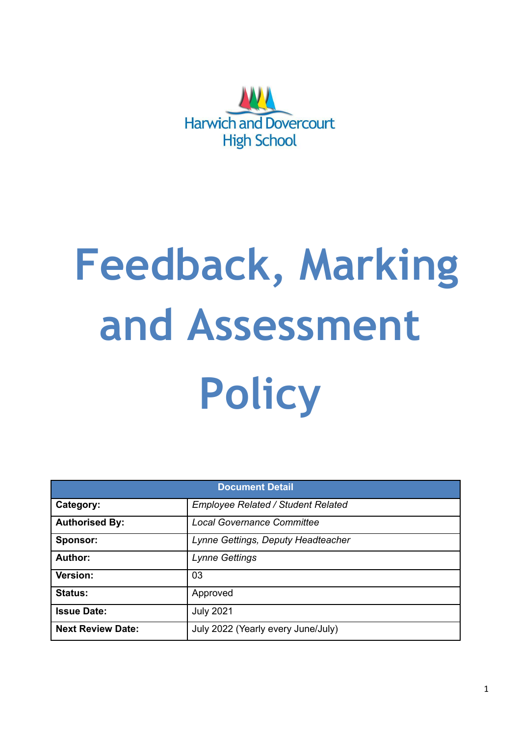

# **Feedback, Marking and Assessment Policy**

| <b>Document Detail</b>   |                                           |  |  |  |
|--------------------------|-------------------------------------------|--|--|--|
| Category:                | <b>Employee Related / Student Related</b> |  |  |  |
| <b>Authorised By:</b>    | <b>Local Governance Committee</b>         |  |  |  |
| Sponsor:                 | Lynne Gettings, Deputy Headteacher        |  |  |  |
| <b>Author:</b>           | <b>Lynne Gettings</b>                     |  |  |  |
| Version:                 | 03                                        |  |  |  |
| <b>Status:</b>           | Approved                                  |  |  |  |
| <b>Issue Date:</b>       | <b>July 2021</b>                          |  |  |  |
| <b>Next Review Date:</b> | July 2022 (Yearly every June/July)        |  |  |  |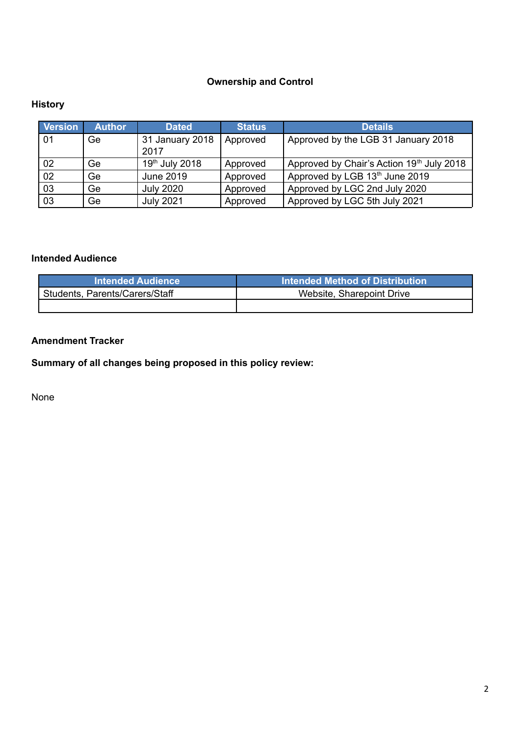## **Ownership and Control**

# **History**

| <b>Version</b> | <b>Author</b> | <b>Dated</b>            | <b>Status</b> | <b>Details</b>                            |
|----------------|---------------|-------------------------|---------------|-------------------------------------------|
| 01             | Ge            | 31 January 2018<br>2017 | Approved      | Approved by the LGB 31 January 2018       |
| 02             | Ge            | 19th July 2018          | Approved      | Approved by Chair's Action 19th July 2018 |
| 02             | Ge            | June 2019               | Approved      | Approved by LGB 13th June 2019            |
| 03             | Ge            | <b>July 2020</b>        | Approved      | Approved by LGC 2nd July 2020             |
| 03             | Ge            | <b>July 2021</b>        | Approved      | Approved by LGC 5th July 2021             |

## **Intended Audience**

| <b>Intended Audience</b>       | l Intended Method of Distribution <b>\</b> |
|--------------------------------|--------------------------------------------|
| Students, Parents/Carers/Staff | Website, Sharepoint Drive                  |
|                                |                                            |

# **Amendment Tracker**

**Summary of all changes being proposed in this policy review:**

None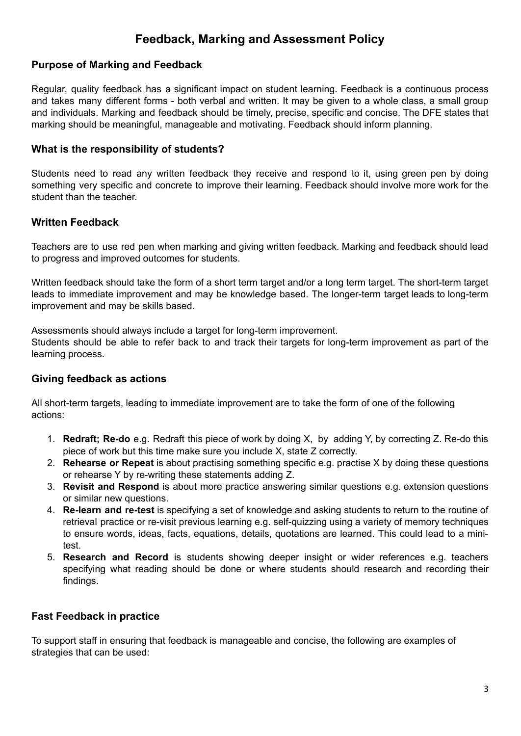# **Feedback, Marking and Assessment Policy**

#### **Purpose of Marking and Feedback**

Regular, quality feedback has a significant impact on student learning. Feedback is a continuous process and takes many different forms - both verbal and written. It may be given to a whole class, a small group and individuals. Marking and feedback should be timely, precise, specific and concise. The DFE states that marking should be meaningful, manageable and motivating. Feedback should inform planning.

#### **What is the responsibility of students?**

Students need to read any written feedback they receive and respond to it, using green pen by doing something very specific and concrete to improve their learning. Feedback should involve more work for the student than the teacher.

#### **Written Feedback**

Teachers are to use red pen when marking and giving written feedback. Marking and feedback should lead to progress and improved outcomes for students.

Written feedback should take the form of a short term target and/or a long term target. The short-term target leads to immediate improvement and may be knowledge based. The longer-term target leads to long-term improvement and may be skills based.

Assessments should always include a target for long-term improvement.

Students should be able to refer back to and track their targets for long-term improvement as part of the learning process.

#### **Giving feedback as actions**

All short-term targets, leading to immediate improvement are to take the form of one of the following actions:

- 1. **Redraft; Re-do** e.g. Redraft this piece of work by doing X, by adding Y, by correcting Z. Re-do this piece of work but this time make sure you include X, state Z correctly.
- 2. **Rehearse or Repeat** is about practising something specific e.g. practise X by doing these questions or rehearse Y by re-writing these statements adding Z.
- 3. **Revisit and Respond** is about more practice answering similar questions e.g. extension questions or similar new questions.
- 4. **Re-learn and re-test** is specifying a set of knowledge and asking students to return to the routine of retrieval practice or re-visit previous learning e.g. self-quizzing using a variety of memory techniques to ensure words, ideas, facts, equations, details, quotations are learned. This could lead to a minitest.
- 5. **Research and Record** is students showing deeper insight or wider references e.g. teachers specifying what reading should be done or where students should research and recording their findings.

#### **Fast Feedback in practice**

To support staff in ensuring that feedback is manageable and concise, the following are examples of strategies that can be used: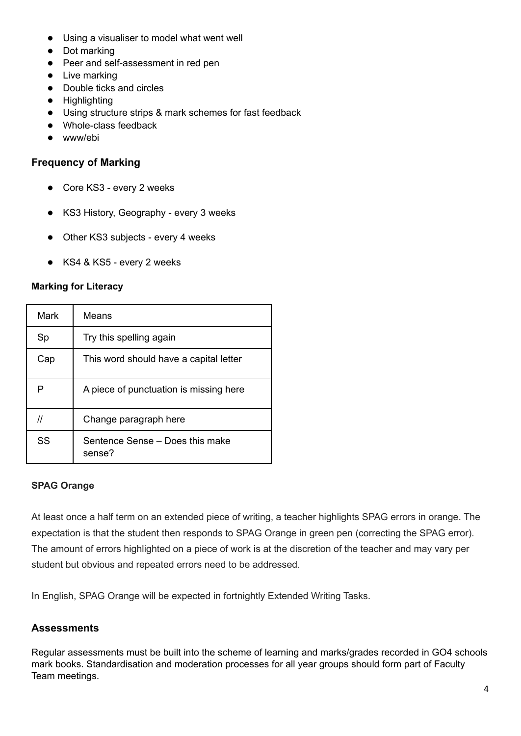- Using a visualiser to model what went well
- Dot marking
- Peer and self-assessment in red pen
- Live marking
- Double ticks and circles
- Highlighting
- Using structure strips & mark schemes for fast feedback
- Whole-class feedback
- www/ebi

#### **Frequency of Marking**

- Core KS3 every 2 weeks
- KS3 History, Geography every 3 weeks
- Other KS3 subjects every 4 weeks
- KS4 & KS5 every 2 weeks

#### **Marking for Literacy**

| Mark | Means                                     |
|------|-------------------------------------------|
| Sp   | Try this spelling again                   |
| Cap  | This word should have a capital letter    |
| Р    | A piece of punctuation is missing here    |
| 11   | Change paragraph here                     |
| SS   | Sentence Sense - Does this make<br>sense? |

#### **SPAG Orange**

At least once a half term on an extended piece of writing, a teacher highlights SPAG errors in orange. The expectation is that the student then responds to SPAG Orange in green pen (correcting the SPAG error). The amount of errors highlighted on a piece of work is at the discretion of the teacher and may vary per student but obvious and repeated errors need to be addressed.

In English, SPAG Orange will be expected in fortnightly Extended Writing Tasks.

# **Assessments**

Regular assessments must be built into the scheme of learning and marks/grades recorded in GO4 schools mark books. Standardisation and moderation processes for all year groups should form part of Faculty Team meetings.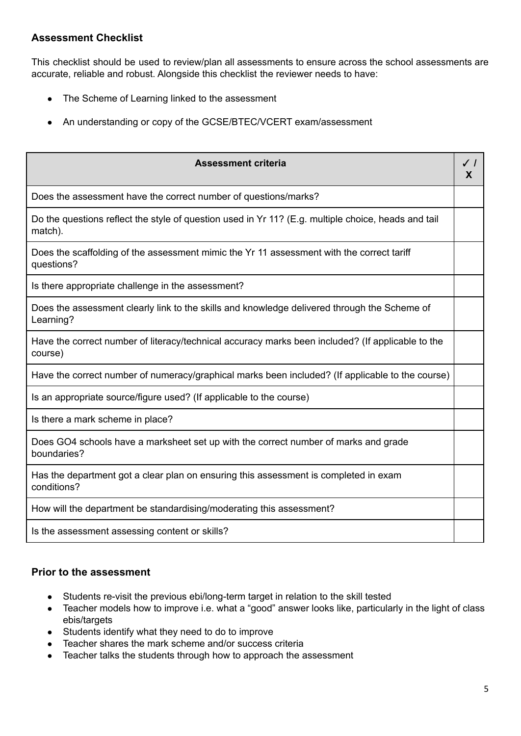# **Assessment Checklist**

This checklist should be used to review/plan all assessments to ensure across the school assessments are accurate, reliable and robust. Alongside this checklist the reviewer needs to have:

- The Scheme of Learning linked to the assessment
- An understanding or copy of the GCSE/BTEC/VCERT exam/assessment

| <b>Assessment criteria</b>                                                                                     | ✓∣<br>X |  |
|----------------------------------------------------------------------------------------------------------------|---------|--|
| Does the assessment have the correct number of questions/marks?                                                |         |  |
| Do the questions reflect the style of question used in Yr 11? (E.g. multiple choice, heads and tail<br>match). |         |  |
| Does the scaffolding of the assessment mimic the Yr 11 assessment with the correct tariff<br>questions?        |         |  |
| Is there appropriate challenge in the assessment?                                                              |         |  |
| Does the assessment clearly link to the skills and knowledge delivered through the Scheme of<br>Learning?      |         |  |
| Have the correct number of literacy/technical accuracy marks been included? (If applicable to the<br>course)   |         |  |
| Have the correct number of numeracy/graphical marks been included? (If applicable to the course)               |         |  |
| Is an appropriate source/figure used? (If applicable to the course)                                            |         |  |
| Is there a mark scheme in place?                                                                               |         |  |
| Does GO4 schools have a marksheet set up with the correct number of marks and grade<br>boundaries?             |         |  |
| Has the department got a clear plan on ensuring this assessment is completed in exam<br>conditions?            |         |  |
| How will the department be standardising/moderating this assessment?                                           |         |  |
| Is the assessment assessing content or skills?                                                                 |         |  |

#### **Prior to the assessment**

- Students re-visit the previous ebi/long-term target in relation to the skill tested
- Teacher models how to improve i.e. what a "good" answer looks like, particularly in the light of class ebis/targets
- Students identify what they need to do to improve
- Teacher shares the mark scheme and/or success criteria
- Teacher talks the students through how to approach the assessment